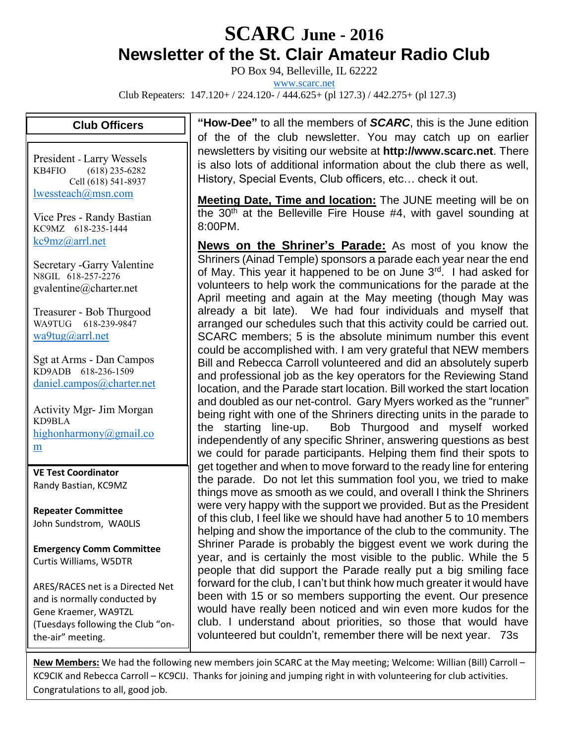## **SCARC June - <sup>2016</sup> Newsletter of the St. Clair Amateur Radio Club**

PO Box 94, Belleville, IL 62222

[www.scarc.net](http://www.scarc.net/)

Club Repeaters: 147.120+ / 224.120- / 444.625+ (pl 127.3) / 442.275+ (pl 127.3)

## **Club Officers**

President - Larry Wessels KB4FIO (618) 235-6282 Cell (618) 541-8937 [lwessteach@msn.com](mailto:lwessteach@msn.com)

Vice Pres - Randy Bastian KC9MZ 618-235-1444 [kc9mz@arrl.net](mailto:kc9mz@arrl.net)

Secretary -Garry Valentine N8GIL 618-257-2276 gvalentine@charter.net

Treasurer - Bob Thurgood WA9TUG 618-239-9847 [wa9tug@arrl.net](mailto:wa9tug@arrl.net)

Sgt at Arms - Dan Campos KD9ADB 618-236-1509 [daniel.campos@charter.net](mailto:daniel.campos@charter.net)

Activity Mgr- Jim Morgan KD9BLA [highonharmony@gmail.co](mailto:highonharmony@gmail.com) [m](mailto:highonharmony@gmail.com)

**VE Test Coordinator** Randy Bastian, KC9MZ

**Repeater Committee** John Sundstrom, WA0LIS

**Emergency Comm Committee** Curtis Williams, W5DTR

ARES/RACES net is a Directed Net and is normally conducted by Gene Kraemer, WA9TZL (Tuesdays following the Club "onthe-air" meeting.

**"How-Dee"** to all the members of *SCARC*, this is the June edition of the of the club newsletter. You may catch up on earlier newsletters by visiting our website at **http://www.scarc.net**. There is also lots of additional information about the club there as well, History, Special Events, Club officers, etc… check it out.

**Meeting Date, Time and location:** The JUNE meeting will be on the  $30<sup>th</sup>$  at the Belleville Fire House #4, with gavel sounding at 8:00PM.

**News on the Shriner's Parade:** As most of you know the Shriners (Ainad Temple) sponsors a parade each year near the end of May. This year it happened to be on June 3rd. I had asked for volunteers to help work the communications for the parade at the April meeting and again at the May meeting (though May was already a bit late). We had four individuals and myself that arranged our schedules such that this activity could be carried out. SCARC members; 5 is the absolute minimum number this event could be accomplished with. I am very grateful that NEW members Bill and Rebecca Carroll volunteered and did an absolutely superb and professional job as the key operators for the Reviewing Stand location, and the Parade start location. Bill worked the start location and doubled as our net-control. Gary Myers worked as the "runner" being right with one of the Shriners directing units in the parade to the starting line-up. Bob Thurgood and myself worked independently of any specific Shriner, answering questions as best we could for parade participants. Helping them find their spots to get together and when to move forward to the ready line for entering the parade. Do not let this summation fool you, we tried to make things move as smooth as we could, and overall I think the Shriners were very happy with the support we provided. But as the President of this club, I feel like we should have had another 5 to 10 members helping and show the importance of the club to the community. The Shriner Parade is probably the biggest event we work during the year, and is certainly the most visible to the public. While the 5 people that did support the Parade really put a big smiling face forward for the club, I can't but think how much greater it would have been with 15 or so members supporting the event. Our presence would have really been noticed and win even more kudos for the club. I understand about priorities, so those that would have volunteered but couldn't, remember there will be next year. 73s

**New Members:** We had the following new members join SCARC at the May meeting; Welcome: Willian (Bill) Carroll – KC9CIK and Rebecca Carroll – KC9CIJ. Thanks for joining and jumping right in with volunteering for club activities. Congratulations to all, good job.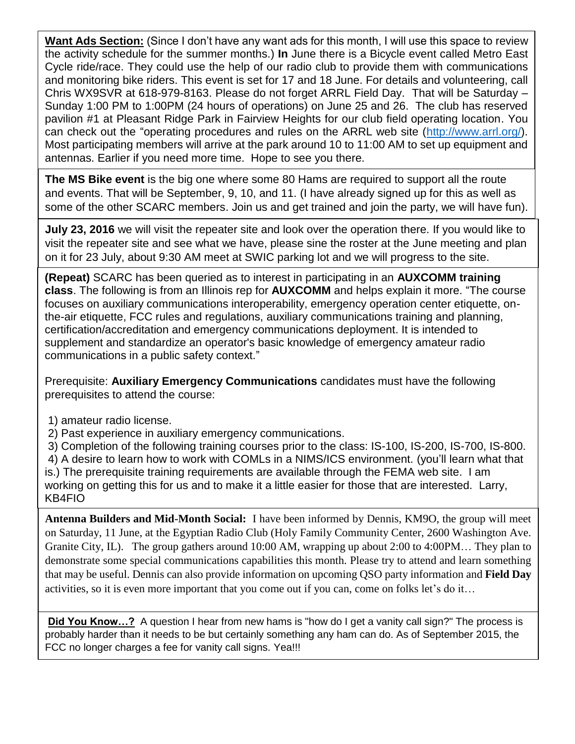**Want Ads Section:** (Since I don't have any want ads for this month, I will use this space to review the activity schedule for the summer months.) **In** June there is a Bicycle event called Metro East Cycle ride/race. They could use the help of our radio club to provide them with communications and monitoring bike riders. This event is set for 17 and 18 June. For details and volunteering, call Chris WX9SVR at 618-979-8163. Please do not forget ARRL Field Day. That will be Saturday – Sunday 1:00 PM to 1:00PM (24 hours of operations) on June 25 and 26. The club has reserved pavilion #1 at Pleasant Ridge Park in Fairview Heights for our club field operating location. You can check out the "operating procedures and rules on the ARRL web site [\(http://www.arrl.org/\)](http://www.arrl.org/). Most participating members will arrive at the park around 10 to 11:00 AM to set up equipment and antennas. Earlier if you need more time. Hope to see you there.

**The MS Bike event** is the big one where some 80 Hams are required to support all the route and events. That will be September, 9, 10, and 11. (I have already signed up for this as well as some of the other SCARC members. Join us and get trained and join the party, we will have fun).

**July 23, 2016** we will visit the repeater site and look over the operation there. If you would like to visit the repeater site and see what we have, please sine the roster at the June meeting and plan on it for 23 July, about 9:30 AM meet at SWIC parking lot and we will progress to the site.

**(Repeat)** SCARC has been queried as to interest in participating in an **AUXCOMM training class**. The following is from an Illinois rep for **AUXCOMM** and helps explain it more. "The course focuses on auxiliary communications interoperability, emergency operation center etiquette, onthe-air etiquette, FCC rules and regulations, auxiliary communications training and planning, certification/accreditation and emergency communications deployment. It is intended to supplement and standardize an operator's basic knowledge of emergency amateur radio communications in a public safety context."

Prerequisite: **Auxiliary Emergency Communications** candidates must have the following prerequisites to attend the course:

- 1) amateur radio license.
- 2) Past experience in auxiliary emergency communications.

3) Completion of the following training courses prior to the class: IS-100, IS-200, IS-700, IS-800.

4) A desire to learn how to work with COMLs in a NIMS/ICS environment. (you'll learn what that

is.) The prerequisite training requirements are available through the FEMA web site. I am working on getting this for us and to make it a little easier for those that are interested. Larry, KB4FIO

**Antenna Builders and Mid-Month Social:** I have been informed by Dennis, KM9O, the group will meet on Saturday, 11 June, at the Egyptian Radio Club (Holy Family Community Center, 2600 Washington Ave. Granite City, IL). The group gathers around 10:00 AM, wrapping up about 2:00 to 4:00PM… They plan to demonstrate some special communications capabilities this month. Please try to attend and learn something that may be useful. Dennis can also provide information on upcoming QSO party information and **Field Day** activities, so it is even more important that you come out if you can, come on folks let's do it…

**Did You Know…?** A question I hear from new hams is "how do I get a vanity call sign?" The process is probably harder than it needs to be but certainly something any ham can do. As of September 2015, the FCC no longer charges a fee for vanity call signs. Yea!!!